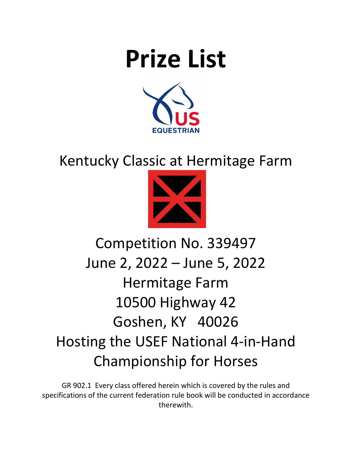# **Prize List**



# Kentucky Classic at Hermitage Farm



# Competition No. 339497 June 2, 2022 – June 5, 2022 Hermitage Farm 10500 Highway 42 Goshen, KY 40026 Hosting the USEF National 4-in-Hand Championship for Horses

GR 902.1 Every class offered herein which is covered by the rules and specifications of the current federation rule book will be conducted in accordance therewith.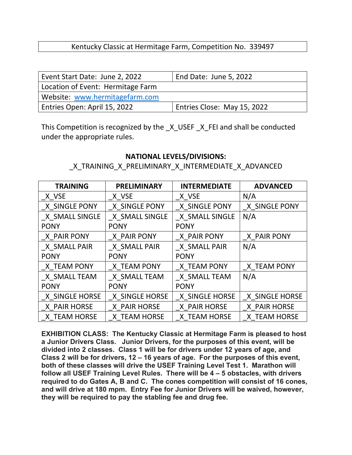| Event Start Date: June 2, 2022    | End Date: June 5, 2022      |
|-----------------------------------|-----------------------------|
| Location of Event: Hermitage Farm |                             |
| Website: www.hermitagefarm.com    |                             |
| Entries Open: April 15, 2022      | Entries Close: May 15, 2022 |

This Competition is recognized by the \_X\_USEF \_X\_FEI and shall be conducted under the appropriate rules.

#### **NATIONAL LEVELS/DIVISIONS:**

| <b>TRAINING</b> | <b>PRELIMINARY</b> | <b>INTERMEDIATE</b> | <b>ADVANCED</b> |
|-----------------|--------------------|---------------------|-----------------|
| X VSE           | X VSE              | X VSE               | N/A             |
| X SINGLE PONY   | X SINGLE PONY      | X SINGLE PONY       | X SINGLE PONY   |
| X SMALL SINGLE  | X SMALL SINGLE     | X SMALL SINGLE      | N/A             |
| <b>PONY</b>     | <b>PONY</b>        | <b>PONY</b>         |                 |
| X PAIR PONY     | X PAIR PONY        | X PAIR PONY         | X PAIR PONY     |
| X SMALL PAIR    | X SMALL PAIR       | X SMALL PAIR        | N/A             |
| <b>PONY</b>     | <b>PONY</b>        | <b>PONY</b>         |                 |
| X TEAM PONY     | X TEAM PONY        | X TEAM PONY         | X TEAM PONY     |
| X SMALL TEAM    | X SMALL TEAM       | X SMALL TEAM        | N/A             |
| <b>PONY</b>     | <b>PONY</b>        | <b>PONY</b>         |                 |
| X SINGLE HORSE  | X SINGLE HORSE     | X SINGLE HORSE      | X SINGLE HORSE  |
| X PAIR HORSE    | X PAIR HORSE       | X PAIR HORSE        | X PAIR HORSE    |
| X TEAM HORSE    | X TEAM HORSE       | X TEAM HORSE        | X TEAM HORSE    |

\_X\_TRAINING\_X\_PRELIMINARY\_X\_INTERMEDIATE\_X\_ADVANCED

**EXHIBITION CLASS: The Kentucky Classic at Hermitage Farm is pleased to host a Junior Drivers Class. Junior Drivers, for the purposes of this event, will be divided into 2 classes. Class 1 will be for drivers under 12 years of age, and Class 2 will be for drivers, 12 – 16 years of age. For the purposes of this event, both of these classes will drive the USEF Training Level Test 1. Marathon will follow all USEF Training Level Rules. There will be 4 – 5 obstacles, with drivers required to do Gates A, B and C. The cones competition will consist of 16 cones, and will drive at 180 mpm. Entry Fee for Junior Drivers will be waived, however, they will be required to pay the stabling fee and drug fee.**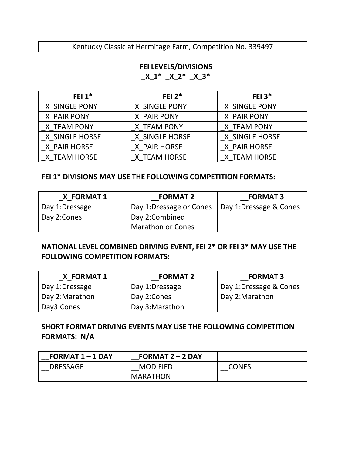# **FEI LEVELS/DIVISIONS \_X\_1\* \_X\_2\* \_X\_3\***

| FEI $1*$       | FEI $2*$       | FEI $3*$       |
|----------------|----------------|----------------|
| X SINGLE PONY  | X SINGLE PONY  | X SINGLE PONY  |
| X PAIR PONY    | X PAIR PONY    | X PAIR PONY    |
| X TEAM PONY    | X TEAM PONY    | X TEAM PONY    |
| X SINGLE HORSE | X SINGLE HORSE | X SINGLE HORSE |
| X PAIR HORSE   | X PAIR HORSE   | X PAIR HORSE   |
| X TEAM HORSE   | X TEAM HORSE   | X TEAM HORSE   |

#### **FEI 1\* DIVISIONS MAY USE THE FOLLOWING COMPETITION FORMATS:**

| X FORMAT 1     | <b>FORMAT 2</b>          | <b>FORMAT 3</b>        |
|----------------|--------------------------|------------------------|
| Day 1:Dressage | Day 1:Dressage or Cones  | Day 1:Dressage & Cones |
| Day 2: Cones   | Day 2:Combined           |                        |
|                | <b>Marathon or Cones</b> |                        |

# **NATIONAL LEVEL COMBINED DRIVING EVENT, FEI 2\* OR FEI 3\* MAY USE THE FOLLOWING COMPETITION FORMATS:**

| X FORMAT 1      | <b>FORMAT 2</b> | <b>FORMAT 3</b>        |
|-----------------|-----------------|------------------------|
| Day 1:Dressage  | Day 1:Dressage  | Day 1:Dressage & Cones |
| Day 2: Marathon | Day 2: Cones    | Day 2: Marathon        |
| Day3: Cones     | Day 3: Marathon |                        |

# **SHORT FORMAT DRIVING EVENTS MAY USE THE FOLLOWING COMPETITION FORMATS: N/A**

| <b>FORMAT <math>1 - 1</math> DAY</b> | <b>FORMAT 2-2 DAY</b> |              |
|--------------------------------------|-----------------------|--------------|
| <b>DRESSAGE</b>                      | <b>MODIFIED</b>       | <b>CONES</b> |
|                                      | <b>MARATHON</b>       |              |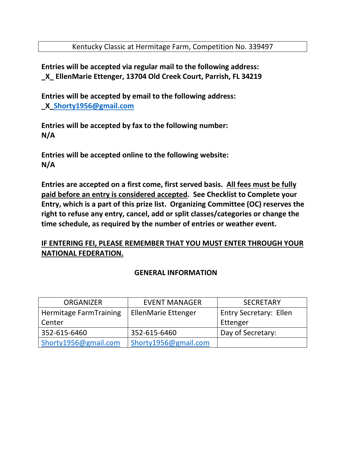**Entries will be accepted via regular mail to the following address: \_X\_ EllenMarie Ettenger, 13704 Old Creek Court, Parrish, FL 34219**

**Entries will be accepted by email to the following address: \_X\_Shorty1956@gmail.com**

**Entries will be accepted by fax to the following number: N/A**

**Entries will be accepted online to the following website: N/A**

**Entries are accepted on a first come, first served basis. All fees must be fully paid before an entry is considered accepted. See Checklist to Complete your Entry, which is a part of this prize list. Organizing Committee (OC) reserves the right to refuse any entry, cancel, add or split classes/categories or change the time schedule, as required by the number of entries or weather event.** 

# **IF ENTERING FEI, PLEASE REMEMBER THAT YOU MUST ENTER THROUGH YOUR NATIONAL FEDERATION.**

### **GENERAL INFORMATION**

| <b>ORGANIZER</b>       | <b>EVENT MANAGER</b>       | <b>SECRETARY</b>              |
|------------------------|----------------------------|-------------------------------|
| Hermitage FarmTraining | <b>EllenMarie Ettenger</b> | <b>Entry Secretary: Ellen</b> |
| Center                 |                            | Ettenger                      |
| 352-615-6460           | 352-615-6460               | Day of Secretary:             |
| Shorty1956@gmail.com   | Shorty1956@gmail.com       |                               |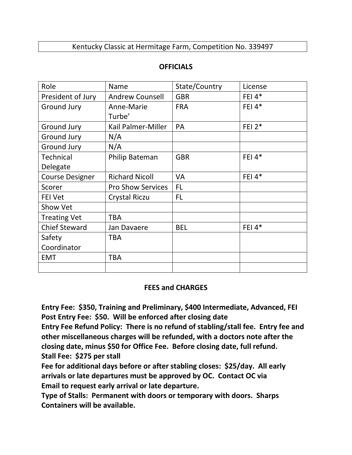#### **OFFICIALS**

| Role                   | Name                     | State/Country | License  |
|------------------------|--------------------------|---------------|----------|
| President of Jury      | <b>Andrew Counsell</b>   | <b>GBR</b>    | FEI $4*$ |
| <b>Ground Jury</b>     | Anne-Marie               | <b>FRA</b>    | FEI $4*$ |
|                        | Turbe'                   |               |          |
| <b>Ground Jury</b>     | Kail Palmer-Miller       | PA            | FEI $2*$ |
| <b>Ground Jury</b>     | N/A                      |               |          |
| <b>Ground Jury</b>     | N/A                      |               |          |
| Technical              | Philip Bateman           | <b>GBR</b>    | FEI $4*$ |
| Delegate               |                          |               |          |
| <b>Course Designer</b> | <b>Richard Nicoll</b>    | VA            | FEI $4*$ |
| Scorer                 | <b>Pro Show Services</b> | FL            |          |
| <b>FEI Vet</b>         | Crystal Riczu            | <b>FL</b>     |          |
| Show Vet               |                          |               |          |
| <b>Treating Vet</b>    | <b>TBA</b>               |               |          |
| <b>Chief Steward</b>   | Jan Davaere              | <b>BEL</b>    | FEI $4*$ |
| Safety                 | <b>TBA</b>               |               |          |
| Coordinator            |                          |               |          |
| <b>EMT</b>             | <b>TBA</b>               |               |          |
|                        |                          |               |          |

### **FEES and CHARGES**

**Entry Fee: \$350, Training and Preliminary, \$400 Intermediate, Advanced, FEI Post Entry Fee: \$50. Will be enforced after closing date**

**Entry Fee Refund Policy: There is no refund of stabling/stall fee. Entry fee and other miscellaneous charges will be refunded, with a doctors note after the closing date, minus \$50 for Office Fee. Before closing date, full refund. Stall Fee: \$275 per stall**

**Fee for additional days before or after stabling closes: \$25/day. All early arrivals or late departures must be approved by OC. Contact OC via Email to request early arrival or late departure.** 

**Type of Stalls: Permanent with doors or temporary with doors. Sharps Containers will be available.**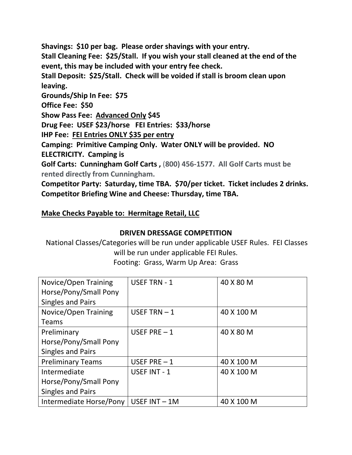**Shavings: \$10 per bag. Please order shavings with your entry. Stall Cleaning Fee: \$25/Stall. If you wish your stall cleaned at the end of the event, this may be included with your entry fee check. Stall Deposit: \$25/Stall. Check will be voided if stall is broom clean upon** 

**leaving.** 

**Grounds/Ship In Fee: \$75**

**Office Fee: \$50**

**Show Pass Fee: Advanced Only \$45**

**Drug Fee: USEF \$23/horse FEI Entries: \$33/horse**

**IHP Fee: FEI Entries ONLY \$35 per entry**

**Camping: Primitive Camping Only. Water ONLY will be provided. NO ELECTRICITY. Camping is** 

**Golf Carts: Cunningham Golf Carts ,** (**800) 456-1577. All Golf Carts must be rented directly from Cunningham.**

**Competitor Party: Saturday, time TBA. \$70/per ticket. Ticket includes 2 drinks. Competitor Briefing Wine and Cheese: Thursday, time TBA.**

# **Make Checks Payable to: Hermitage Retail, LLC**

# **DRIVEN DRESSAGE COMPETITION**

National Classes/Categories will be run under applicable USEF Rules. FEI Classes will be run under applicable FEI Rules. Footing: Grass, Warm Up Area: Grass

| <b>Novice/Open Training</b><br>Horse/Pony/Small Pony | <b>USEF TRN - 1</b> | 40 X 80 M  |
|------------------------------------------------------|---------------------|------------|
| Singles and Pairs                                    |                     |            |
| <b>Novice/Open Training</b>                          | USEF TRN $-1$       | 40 X 100 M |
| <b>Teams</b>                                         |                     |            |
| Preliminary                                          | USEF PRE $-1$       | 40 X 80 M  |
| Horse/Pony/Small Pony                                |                     |            |
| <b>Singles and Pairs</b>                             |                     |            |
| <b>Preliminary Teams</b>                             | USEF PRE $-1$       | 40 X 100 M |
| Intermediate                                         | USEF INT - 1        | 40 X 100 M |
| Horse/Pony/Small Pony                                |                     |            |
| Singles and Pairs                                    |                     |            |
| Intermediate Horse/Pony   USEF INT - 1M              |                     | 40 X 100 M |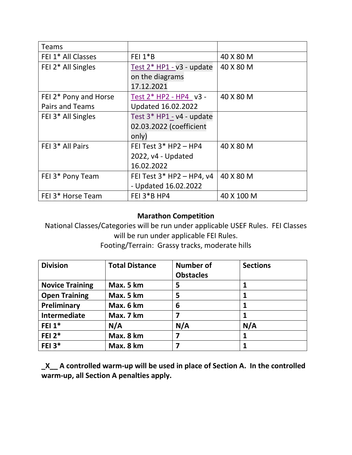| <b>Teams</b>                   |                           |            |
|--------------------------------|---------------------------|------------|
| FEI 1* All Classes             | FEI $1*B$                 | 40 X 80 M  |
| FEI 2* All Singles             | Test 2* HP1 - v3 - update | 40 X 80 M  |
|                                | on the diagrams           |            |
|                                | 17.12.2021                |            |
| FEI 2* Pony and Horse          | Test 2* HP2 - HP4 v3 -    | 40 X 80 M  |
| Pairs and Teams                | <b>Updated 16.02.2022</b> |            |
| FEI 3 <sup>*</sup> All Singles | Test 3* HP1 - v4 - update |            |
|                                | 02.03.2022 (coefficient   |            |
|                                | only)                     |            |
| FEI 3* All Pairs               | FEI Test $3*$ HP2 - HP4   | 40 X 80 M  |
|                                | 2022, v4 - Updated        |            |
|                                | 16.02.2022                |            |
| FEI 3* Pony Team               | FEI Test 3* HP2 - HP4, v4 | 40 X 80 M  |
|                                | - Updated 16.02.2022      |            |
| FEI 3* Horse Team              | FEI 3*B HP4               | 40 X 100 M |

## **Marathon Competition**

National Classes/Categories will be run under applicable USEF Rules. FEI Classes will be run under applicable FEI Rules.

Footing/Terrain: Grassy tracks, moderate hills

| <b>Division</b>        | <b>Total Distance</b> | <b>Number of</b><br><b>Obstacles</b> | <b>Sections</b> |
|------------------------|-----------------------|--------------------------------------|-----------------|
| <b>Novice Training</b> | Max. 5 km             | 5                                    |                 |
| <b>Open Training</b>   | Max. 5 km             | 5                                    |                 |
| Preliminary            | Max. 6 km             | 6                                    |                 |
| Intermediate           | Max. 7 km             |                                      |                 |
| FEI $1*$               | N/A                   | N/A                                  | N/A             |
| FEI $2*$               | Max. 8 km             |                                      |                 |
| FEI $3*$               | Max. 8 km             |                                      |                 |

**\_X\_\_ A controlled warm-up will be used in place of Section A. In the controlled warm-up, all Section A penalties apply.**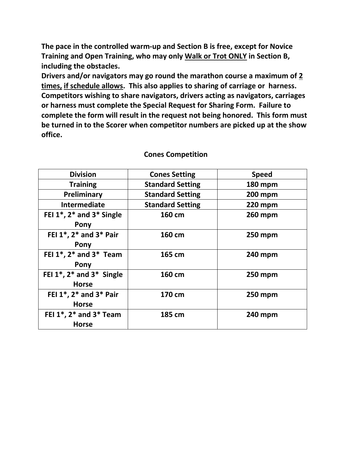**The pace in the controlled warm-up and Section B is free, except for Novice Training and Open Training, who may only Walk or Trot ONLY in Section B, including the obstacles.**

**Drivers and/or navigators may go round the marathon course a maximum of 2 times, if schedule allows. This also applies to sharing of carriage or harness. Competitors wishing to share navigators, drivers acting as navigators, carriages or harness must complete the Special Request for Sharing Form. Failure to complete the form will result in the request not being honored. This form must be turned in to the Scorer when competitor numbers are picked up at the show office.** 

| <b>Division</b>                                    | <b>Cones Setting</b>    | <b>Speed</b>   |
|----------------------------------------------------|-------------------------|----------------|
| <b>Training</b>                                    | <b>Standard Setting</b> | <b>180 mpm</b> |
| Preliminary                                        | <b>Standard Setting</b> | <b>200 mpm</b> |
| <b>Intermediate</b>                                | <b>Standard Setting</b> | <b>220 mpm</b> |
| FEI $1^*$ , $2^*$ and $3^*$ Single<br>Pony         | 160 cm                  | <b>260 mpm</b> |
| FEI 1*, 2* and 3* Pair<br>Pony                     | 160 cm                  | <b>250 mpm</b> |
| FEI 1*, 2* and 3* Team<br>Pony                     | 165 cm                  | <b>240 mpm</b> |
| FEI $1^*$ , $2^*$ and $3^*$ Single<br><b>Horse</b> | 160 cm                  | <b>250 mpm</b> |
| FEI $1^*$ , $2^*$ and $3^*$ Pair<br><b>Horse</b>   | 170 cm                  | <b>250 mpm</b> |
| FEI 1*, 2* and 3* Team<br><b>Horse</b>             | 185 cm                  | <b>240 mpm</b> |

#### **Cones Competition**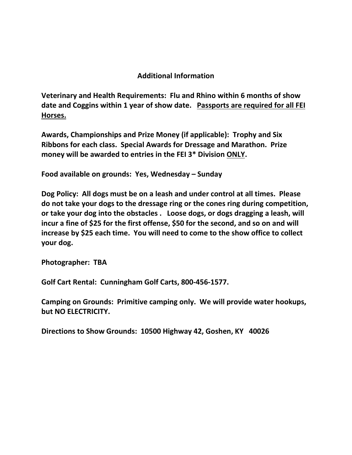# **Additional Information**

**Veterinary and Health Requirements: Flu and Rhino within 6 months of show date and Coggins within 1 year of show date. Passports are required for all FEI Horses.**

**Awards, Championships and Prize Money (if applicable): Trophy and Six Ribbons for each class. Special Awards for Dressage and Marathon. Prize money will be awarded to entries in the FEI 3\* Division ONLY.** 

**Food available on grounds: Yes, Wednesday – Sunday**

**Dog Policy: All dogs must be on a leash and under control at all times. Please do not take your dogs to the dressage ring or the cones ring during competition, or take your dog into the obstacles . Loose dogs, or dogs dragging a leash, will incur a fine of \$25 for the first offense, \$50 for the second, and so on and will increase by \$25 each time. You will need to come to the show office to collect your dog.**

**Photographer: TBA**

**Golf Cart Rental: Cunningham Golf Carts, 800-456-1577.** 

**Camping on Grounds: Primitive camping only. We will provide water hookups, but NO ELECTRICITY.** 

**Directions to Show Grounds: 10500 Highway 42, Goshen, KY 40026**